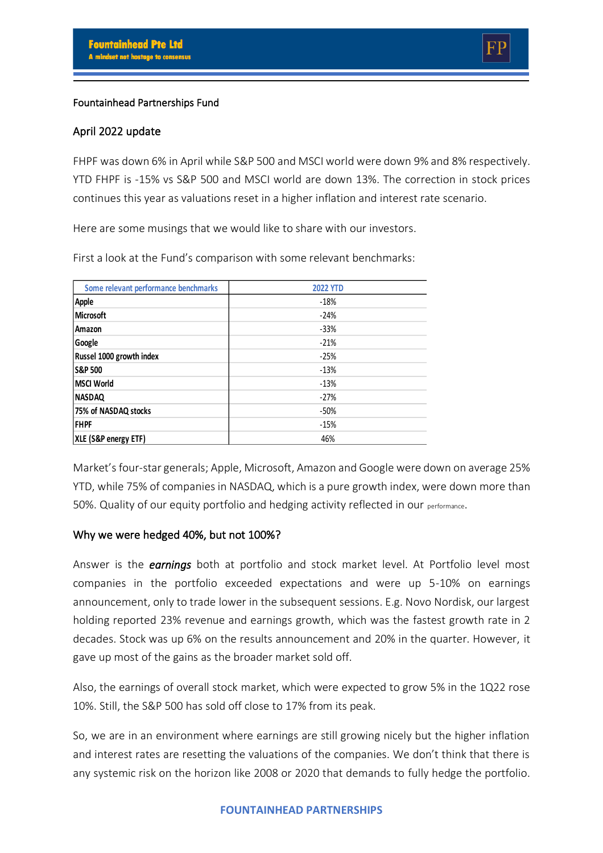### Fountainhead Partnerships Fund

### April 2022 update

FHPF was down 6% in April while S&P 500 and MSCI world were down 9% and 8% respectively. YTD FHPF is -15% vs S&P 500 and MSCI world are down 13%. The correction in stock prices continues this year as valuations reset in a higher inflation and interest rate scenario.

Here are some musings that we would like to share with our investors.

First a look at the Fund's comparison with some relevant benchmarks:

| Some relevant performance benchmarks | <b>2022 YTD</b> |
|--------------------------------------|-----------------|
| Apple                                | $-18%$          |
| <b>Microsoft</b>                     | $-24%$          |
| Amazon                               | $-33%$          |
| Google                               | $-21%$          |
| Russel 1000 growth index             | $-25%$          |
| <b>S&amp;P 500</b>                   | $-13%$          |
| <b>MSCI World</b>                    | $-13%$          |
| <b>NASDAQ</b>                        | $-27%$          |
| 75% of NASDAQ stocks                 | $-50%$          |
| <b>FHPF</b>                          | $-15%$          |
| XLE (S&P energy ETF)                 | 46%             |

Market's four-star generals; Apple, Microsoft, Amazon and Google were down on average 25% YTD, while 75% of companies in NASDAQ, which is a pure growth index, were down more than 50%. Quality of our equity portfolio and hedging activity reflected in our performance.

## Why we were hedged 40%, but not 100%?

Answer is the *earnings* both at portfolio and stock market level. At Portfolio level most companies in the portfolio exceeded expectations and were up 5-10% on earnings announcement, only to trade lower in the subsequent sessions. E.g. Novo Nordisk, our largest holding reported 23% revenue and earnings growth, which was the fastest growth rate in 2 decades. Stock was up 6% on the results announcement and 20% in the quarter. However, it gave up most of the gains as the broader market sold off.

Also, the earnings of overall stock market, which were expected to grow 5% in the 1Q22 rose 10%. Still, the S&P 500 has sold off close to 17% from its peak.

So, we are in an environment where earnings are still growing nicely but the higher inflation and interest rates are resetting the valuations of the companies. We don't think that there is any systemic risk on the horizon like 2008 or 2020 that demands to fully hedge the portfolio.